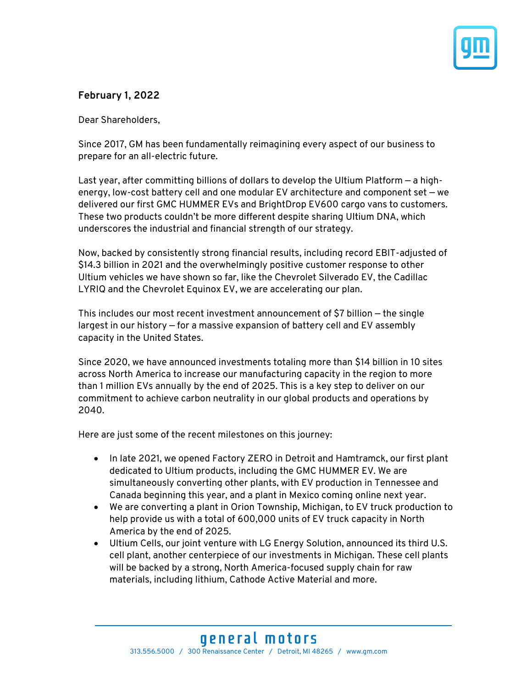

# **February 1, 2022**

Dear Shareholders,

Since 2017, GM has been fundamentally reimagining every aspect of our business to prepare for an all-electric future.

Last year, after committing billions of dollars to develop the Ultium Platform — a highenergy, low-cost battery cell and one modular EV architecture and component set — we delivered our first GMC HUMMER EVs and BrightDrop EV600 cargo vans to customers. These two products couldn't be more different despite sharing Ultium DNA, which underscores the industrial and financial strength of our strategy.

Now, backed by consistently strong financial results, including record EBIT-adjusted of \$14.3 billion in 2021 and the overwhelmingly positive customer response to other Ultium vehicles we have shown so far, like the Chevrolet Silverado EV, the Cadillac LYRIQ and the Chevrolet Equinox EV, we are accelerating our plan.

This includes our most recent investment announcement of \$7 billion — the single largest in our history — for a massive expansion of battery cell and EV assembly capacity in the United States.

Since 2020, we have announced investments totaling more than \$14 billion in 10 sites across North America to increase our manufacturing capacity in the region to more than 1 million EVs annually by the end of 2025. This is a key step to deliver on our commitment to achieve carbon neutrality in our global products and operations by 2040.

Here are just some of the recent milestones on this journey:

- In late 2021, we opened Factory ZERO in Detroit and Hamtramck, our first plant dedicated to Ultium products, including the GMC HUMMER EV. We are simultaneously converting other plants, with EV production in Tennessee and Canada beginning this year, and a plant in Mexico coming online next year.
- We are converting a plant in Orion Township, Michigan, to EV truck production to help provide us with a total of 600,000 units of EV truck capacity in North America by the end of 2025.
- Ultium Cells, our joint venture with LG Energy Solution, announced its third U.S. cell plant, another centerpiece of our investments in Michigan. These cell plants will be backed by a strong, North America-focused supply chain for raw materials, including lithium, Cathode Active Material and more.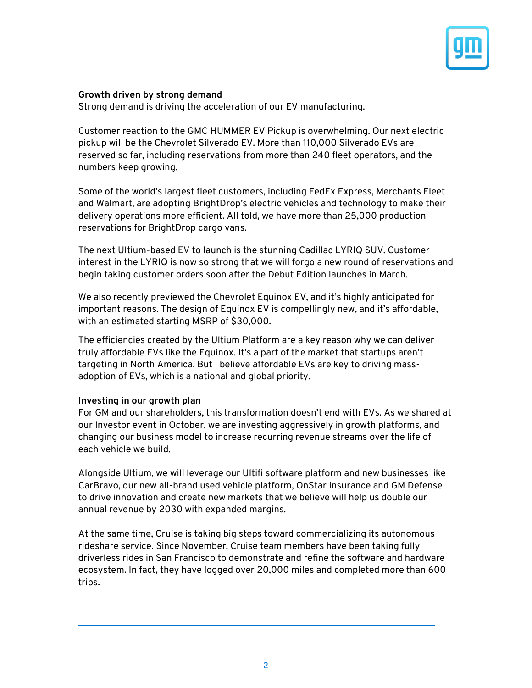

### **Growth driven by strong demand**

Strong demand is driving the acceleration of our EV manufacturing.

Customer reaction to the GMC HUMMER EV Pickup is overwhelming. Our next electric pickup will be the Chevrolet Silverado EV. More than 110,000 Silverado EVs are reserved so far, including reservations from more than 240 fleet operators, and the numbers keep growing.

Some of the world's largest fleet customers, including FedEx Express, Merchants Fleet and Walmart, are adopting BrightDrop's electric vehicles and technology to make their delivery operations more efficient. All told, we have more than 25,000 production reservations for BrightDrop cargo vans.

The next Ultium-based EV to launch is the stunning Cadillac LYRIQ SUV. Customer interest in the LYRIQ is now so strong that we will forgo a new round of reservations and begin taking customer orders soon after the Debut Edition launches in March.

We also recently previewed the Chevrolet Equinox EV, and it's highly anticipated for important reasons. The design of Equinox EV is compellingly new, and it's affordable, with an estimated starting MSRP of \$30,000.

The efficiencies created by the Ultium Platform are a key reason why we can deliver truly affordable EVs like the Equinox. It's a part of the market that startups aren't targeting in North America. But I believe affordable EVs are key to driving massadoption of EVs, which is a national and global priority.

### **Investing in our growth plan**

For GM and our shareholders, this transformation doesn't end with EVs. As we shared at our Investor event in October, we are investing aggressively in growth platforms, and changing our business model to increase recurring revenue streams over the life of each vehicle we build.

Alongside Ultium, we will leverage our Ultifi software platform and new businesses like CarBravo, our new all-brand used vehicle platform, OnStar Insurance and GM Defense to drive innovation and create new markets that we believe will help us double our annual revenue by 2030 with expanded margins.

At the same time, Cruise is taking big steps toward commercializing its autonomous rideshare service. Since November, Cruise team members have been taking fully driverless rides in San Francisco to demonstrate and refine the software and hardware ecosystem. In fact, they have logged over 20,000 miles and completed more than 600 trips.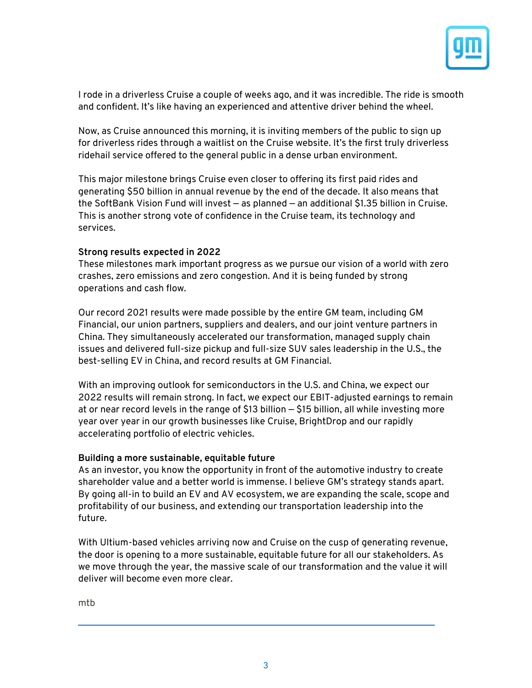

I rode in a driverless Cruise a couple of weeks ago, and it was incredible. The ride is smooth and confident. It's like having an experienced and attentive driver behind the wheel.

Now, as Cruise announced this morning, it is inviting members of the public to sign up for driverless rides through a waitlist on the Cruise website. It's the first truly driverless ridehail service offered to the general public in a dense urban environment.

This major milestone brings Cruise even closer to offering its first paid rides and generating \$50 billion in annual revenue by the end of the decade. It also means that the SoftBank Vision Fund will invest — as planned — an additional \$1.35 billion in Cruise. This is another strong vote of confidence in the Cruise team, its technology and services.

### **Strong results expected in 2022**

These milestones mark important progress as we pursue our vision of a world with zero crashes, zero emissions and zero congestion. And it is being funded by strong operations and cash flow.

Our record 2021 results were made possible by the entire GM team, including GM Financial, our union partners, suppliers and dealers, and our joint venture partners in China. They simultaneously accelerated our transformation, managed supply chain issues and delivered full-size pickup and full-size SUV sales leadership in the U.S., the best-selling EV in China, and record results at GM Financial.

With an improving outlook for semiconductors in the U.S. and China, we expect our 2022 results will remain strong. In fact, we expect our EBIT-adjusted earnings to remain at or near record levels in the range of \$13 billion — \$15 billion, all while investing more year over year in our growth businesses like Cruise, BrightDrop and our rapidly accelerating portfolio of electric vehicles.

#### **Building a more sustainable, equitable future**

As an investor, you know the opportunity in front of the automotive industry to create shareholder value and a better world is immense. I believe GM's strategy stands apart. By going all-in to build an EV and AV ecosystem, we are expanding the scale, scope and profitability of our business, and extending our transportation leadership into the future.

With Ultium-based vehicles arriving now and Cruise on the cusp of generating revenue, the door is opening to a more sustainable, equitable future for all our stakeholders. As we move through the year, the massive scale of our transformation and the value it will deliver will become even more clear.

mtb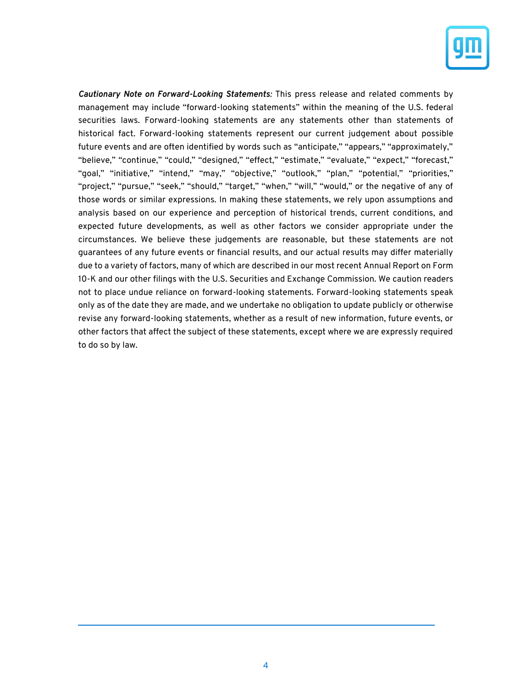

*Cautionary Note on Forward-Looking Statements:* This press release and related comments by management may include "forward-looking statements" within the meaning of the U.S. federal securities laws. Forward-looking statements are any statements other than statements of historical fact. Forward-looking statements represent our current judgement about possible future events and are often identified by words such as "anticipate," "appears," "approximately," "believe," "continue," "could," "designed," "effect," "estimate," "evaluate," "expect," "forecast," "goal," "initiative," "intend," "may," "objective," "outlook," "plan," "potential," "priorities," "project," "pursue," "seek," "should," "target," "when," "will," "would," or the negative of any of those words or similar expressions. In making these statements, we rely upon assumptions and analysis based on our experience and perception of historical trends, current conditions, and expected future developments, as well as other factors we consider appropriate under the circumstances. We believe these judgements are reasonable, but these statements are not guarantees of any future events or financial results, and our actual results may differ materially due to a variety of factors, many of which are described in our most recent Annual Report on Form 10-K and our other filings with the U.S. Securities and Exchange Commission. We caution readers not to place undue reliance on forward-looking statements. Forward-looking statements speak only as of the date they are made, and we undertake no obligation to update publicly or otherwise revise any forward-looking statements, whether as a result of new information, future events, or other factors that affect the subject of these statements, except where we are expressly required to do so by law.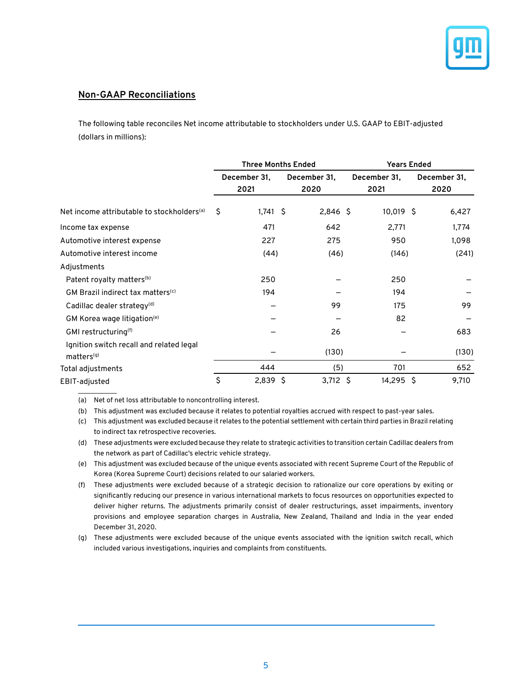

#### **Non-GAAP Reconciliations**

The following table reconciles Net income attributable to stockholders under U.S. GAAP to EBIT-adjusted (dollars in millions):

|                                                                    | <b>Three Months Ended</b> |            |  |                      |  | <b>Years Ended</b>   |                      |       |  |
|--------------------------------------------------------------------|---------------------------|------------|--|----------------------|--|----------------------|----------------------|-------|--|
|                                                                    | December 31,<br>2021      |            |  | December 31,<br>2020 |  | December 31,<br>2021 | December 31,<br>2020 |       |  |
| Net income attributable to stockholders <sup>(a)</sup>             | Ś.                        | $1,741$ \$ |  | $2,846$ \$           |  | 10,019 \$            |                      | 6,427 |  |
| Income tax expense                                                 |                           | 471        |  | 642                  |  | 2,771                |                      | 1,774 |  |
| Automotive interest expense                                        |                           | 227        |  | 275                  |  | 950                  |                      | 1,098 |  |
| Automotive interest income                                         |                           | (44)       |  | (46)                 |  | (146)                |                      | (241) |  |
| Adjustments                                                        |                           |            |  |                      |  |                      |                      |       |  |
| Patent royalty matters <sup>(b)</sup>                              |                           | 250        |  |                      |  | 250                  |                      |       |  |
| GM Brazil indirect tax matters <sup>(c)</sup>                      |                           | 194        |  |                      |  | 194                  |                      |       |  |
| Cadillac dealer strategy <sup>(d)</sup>                            |                           |            |  | 99                   |  | 175                  |                      | 99    |  |
| GM Korea wage litigation <sup>(e)</sup>                            |                           |            |  |                      |  | 82                   |                      |       |  |
| GMI restructuring <sup>(f)</sup>                                   |                           |            |  | 26                   |  |                      |                      | 683   |  |
| Ignition switch recall and related legal<br>matters <sup>(g)</sup> |                           |            |  | (130)                |  |                      |                      | (130) |  |
| Total adjustments                                                  |                           | 444        |  | (5)                  |  | 701                  |                      | 652   |  |
| EBIT-adjusted                                                      | \$                        | $2,839$ \$ |  | $3,712$ \$           |  | 14,295 \$            |                      | 9,710 |  |

(a) Net of net loss attributable to noncontrolling interest.

(b) This adjustment was excluded because it relates to potential royalties accrued with respect to past-year sales.

(c) This adjustment was excluded because it relates to the potential settlement with certain third parties in Brazil relating to indirect tax retrospective recoveries.

(d) These adjustments were excluded because they relate to strategic activities to transition certain Cadillac dealers from the network as part of Cadillac's electric vehicle strategy.

(e) This adjustment was excluded because of the unique events associated with recent Supreme Court of the Republic of Korea (Korea Supreme Court) decisions related to our salaried workers.

(f) These adjustments were excluded because of a strategic decision to rationalize our core operations by exiting or significantly reducing our presence in various international markets to focus resources on opportunities expected to deliver higher returns. The adjustments primarily consist of dealer restructurings, asset impairments, inventory provisions and employee separation charges in Australia, New Zealand, Thailand and India in the year ended December 31, 2020.

(g) These adjustments were excluded because of the unique events associated with the ignition switch recall, which included various investigations, inquiries and complaints from constituents.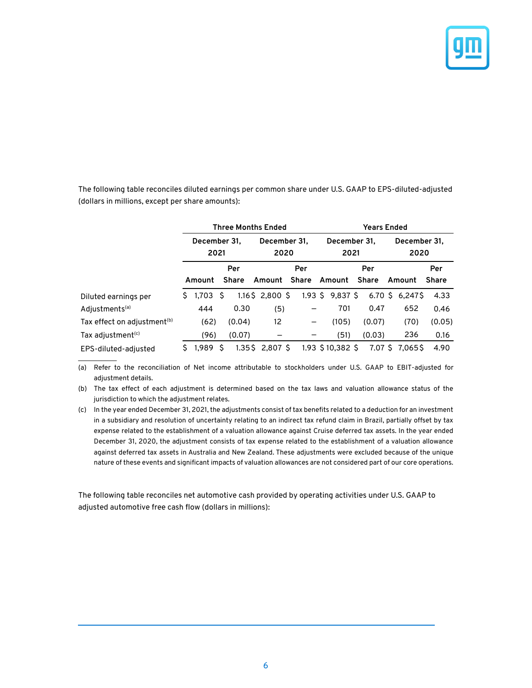

The following table reconciles diluted earnings per common share under U.S. GAAP to EPS-diluted-adjusted (dollars in millions, except per share amounts):

|                                         | <b>Three Months Ended</b> |            |    |                      |                              |  | <b>Years Ended</b>   |     |                      |  |                      |  |                   |              |  |
|-----------------------------------------|---------------------------|------------|----|----------------------|------------------------------|--|----------------------|-----|----------------------|--|----------------------|--|-------------------|--------------|--|
|                                         | December 31.<br>2021      |            |    | December 31.<br>2020 |                              |  | December 31.<br>2021 |     |                      |  | December 31,<br>2020 |  |                   |              |  |
|                                         |                           |            |    | Per                  | Per                          |  |                      | Per |                      |  |                      |  | Per               |              |  |
|                                         |                           | Amount     |    | <b>Share</b>         | Amount Share                 |  |                      |     | Amount               |  | <b>Share</b>         |  | Amount            | <b>Share</b> |  |
| Diluted earnings per                    | S.                        | $1,703$ \$ |    |                      | $1.16\frac{1}{2}$ , 2,800 \$ |  |                      |     | $1.93 \t5 9.837 \t5$ |  |                      |  | $6.70$ \$ 6,247\$ | 4.33         |  |
| Adjustments <sup>(a)</sup>              |                           | 444        |    | 0.30                 | (5)                          |  |                      |     | 701                  |  | 0.47                 |  | 652               | 0.46         |  |
| Tax effect on adjustment <sup>(b)</sup> |                           | (62)       |    | (0.04)               | 12                           |  | $\qquad \qquad$      |     | (105)                |  | (0.07)               |  | (70)              | (0.05)       |  |
| Tax adjustment <sup>(c)</sup>           |                           | (96)       |    | (0.07)               |                              |  |                      |     | (51)                 |  | (0.03)               |  | 236               | 0.16         |  |
| EPS-diluted-adjusted                    | S.                        | 1.989      | -S |                      | $1.35\$ $2.807\$             |  |                      |     | 1.93 \$10,382 \$     |  |                      |  | 7.07 S 7.065S     | 4.90         |  |

(a) Refer to the reconciliation of Net income attributable to stockholders under U.S. GAAP to EBIT-adjusted for adjustment details.

 $\mathcal{L}_\text{max}$ 

(b) The tax effect of each adjustment is determined based on the tax laws and valuation allowance status of the jurisdiction to which the adjustment relates.

(c) In the year ended December 31, 2021, the adjustments consist of tax benefits related to a deduction for an investment in a subsidiary and resolution of uncertainty relating to an indirect tax refund claim in Brazil, partially offset by tax expense related to the establishment of a valuation allowance against Cruise deferred tax assets. In the year ended December 31, 2020, the adjustment consists of tax expense related to the establishment of a valuation allowance against deferred tax assets in Australia and New Zealand. These adjustments were excluded because of the unique nature of these events and significant impacts of valuation allowances are not considered part of our core operations.

The following table reconciles net automotive cash provided by operating activities under U.S. GAAP to adjusted automotive free cash flow (dollars in millions):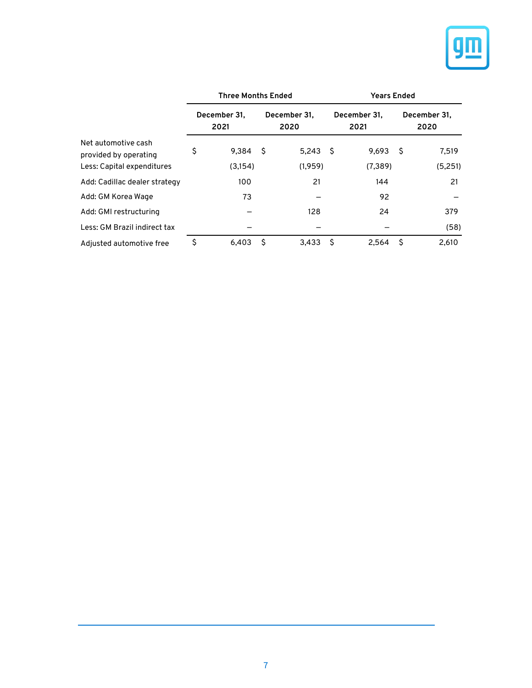

|                                              |                      | <b>Three Months Ended</b> |     |                      | <b>Years Ended</b> |                      |                      |         |  |  |
|----------------------------------------------|----------------------|---------------------------|-----|----------------------|--------------------|----------------------|----------------------|---------|--|--|
|                                              | December 31.<br>2021 |                           |     | December 31.<br>2020 |                    | December 31,<br>2021 | December 31,<br>2020 |         |  |  |
| Net automotive cash<br>provided by operating | \$                   | 9,384                     | -\$ | $5,243$ \$           |                    | 9,693                | Ŝ.                   | 7,519   |  |  |
| Less: Capital expenditures                   |                      | (3,154)                   |     | (1,959)              |                    | (7, 389)             |                      | (5,251) |  |  |
| Add: Cadillac dealer strategy                |                      | 100                       |     | 21                   |                    | 144                  |                      | 21      |  |  |
| Add: GM Korea Wage                           |                      | 73                        |     |                      |                    | 92                   |                      |         |  |  |
| Add: GMI restructuring                       |                      |                           |     | 128                  |                    | 24                   |                      | 379     |  |  |
| Less: GM Brazil indirect tax                 |                      |                           |     |                      |                    |                      |                      | (58)    |  |  |
| Adjusted automotive free                     | \$                   | 6,403                     | -S  | 3,433                | S                  | 2,564                | S                    | 2,610   |  |  |